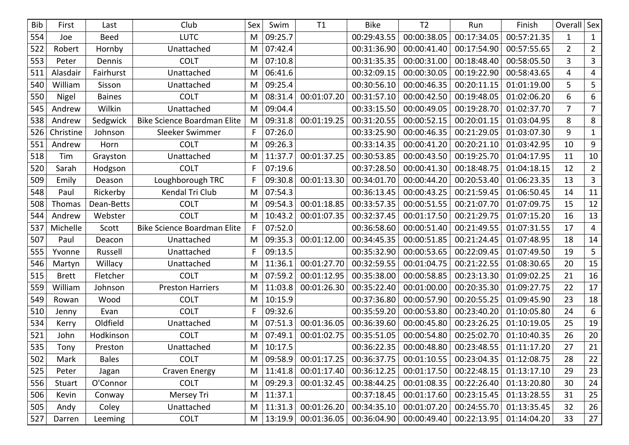| <b>Bib</b> | First        | Last          | Club                               | Sex          | Swim    | T1          | <b>Bike</b> | T <sub>2</sub> | Run         | Finish      | Overall   Sex  |                |
|------------|--------------|---------------|------------------------------------|--------------|---------|-------------|-------------|----------------|-------------|-------------|----------------|----------------|
| 554        | Joe          | <b>Beed</b>   | <b>LUTC</b>                        | M            | 09:25.7 |             | 00:29:43.55 | 00:00:38.05    | 00:17:34.05 | 00:57:21.35 | 1              | $\mathbf{1}$   |
| 522        | Robert       | Hornby        | Unattached                         | M            | 07:42.4 |             | 00:31:36.90 | 00:00:41.40    | 00:17:54.90 | 00:57:55.65 | $\overline{2}$ | $\overline{2}$ |
| 553        | Peter        | Dennis        | <b>COLT</b>                        | M            | 07:10.8 |             | 00:31:35.35 | 00:00:31.00    | 00:18:48.40 | 00:58:05.50 | 3              | $\overline{3}$ |
| 511        | Alasdair     | Fairhurst     | Unattached                         | M            | 06:41.6 |             | 00:32:09.15 | 00:00:30.05    | 00:19:22.90 | 00:58:43.65 | 4              | 4              |
| 540        | William      | Sisson        | Unattached                         | M            | 09:25.4 |             | 00:30:56.10 | 00:00:46.35    | 00:20:11.15 | 01:01:19.00 | 5              | 5              |
| 550        | Nigel        | <b>Baines</b> | <b>COLT</b>                        | M            | 08:31.4 | 00:01:07.20 | 00:31:57.10 | 00:00:42.50    | 00:19:48.05 | 01:02:06.20 | 6              | 6              |
| 545        | Andrew       | Wilkin        | Unattached                         | M            | 09:04.4 |             | 00:33:15.50 | 00:00:49.05    | 00:19:28.70 | 01:02:37.70 | $\overline{7}$ | $\overline{7}$ |
| 538        | Andrew       | Sedgwick      | <b>Bike Science Boardman Elite</b> | M            | 09:31.8 | 00:01:19.25 | 00:31:20.55 | 00:00:52.15    | 00:20:01.15 | 01:03:04.95 | 8              | 8              |
| 526        | Christine    | Johnson       | Sleeker Swimmer                    | F            | 07:26.0 |             | 00:33:25.90 | 00:00:46.35    | 00:21:29.05 | 01:03:07.30 | 9              | $\mathbf{1}$   |
| 551        | Andrew       | Horn          | <b>COLT</b>                        | M            | 09:26.3 |             | 00:33:14.35 | 00:00:41.20    | 00:20:21.10 | 01:03:42.95 | 10             | 9              |
| 518        | Tim          | Grayston      | Unattached                         | M            | 11:37.7 | 00:01:37.25 | 00:30:53.85 | 00:00:43.50    | 00:19:25.70 | 01:04:17.95 | 11             | 10             |
| 520        | Sarah        | Hodgson       | <b>COLT</b>                        | F            | 07:19.6 |             | 00:37:28.50 | 00:00:41.30    | 00:18:48.75 | 01:04:18.15 | 12             | $2^{\circ}$    |
| 509        | Emily        | Deason        | Loughborough TRC                   | $\mathsf{F}$ | 09:30.8 | 00:01:13.30 | 00:34:01.70 | 00:00:44.20    | 00:20:53.40 | 01:06:23.35 | 13             | $\overline{3}$ |
| 548        | Paul         | Rickerby      | Kendal Tri Club                    | M            | 07:54.3 |             | 00:36:13.45 | 00:00:43.25    | 00:21:59.45 | 01:06:50.45 | 14             | 11             |
| 508        | Thomas       | Dean-Betts    | <b>COLT</b>                        | M            | 09:54.3 | 00:01:18.85 | 00:33:57.35 | 00:00:51.55    | 00:21:07.70 | 01:07:09.75 | 15             | 12             |
| 544        | Andrew       | Webster       | <b>COLT</b>                        | M            | 10:43.2 | 00:01:07.35 | 00:32:37.45 | 00:01:17.50    | 00:21:29.75 | 01:07:15.20 | 16             | 13             |
| 537        | Michelle     | Scott         | <b>Bike Science Boardman Elite</b> | F            | 07:52.0 |             | 00:36:58.60 | 00:00:51.40    | 00:21:49.55 | 01:07:31.55 | 17             | 4              |
| 507        | Paul         | Deacon        | Unattached                         | M            | 09:35.3 | 00:01:12.00 | 00:34:45.35 | 00:00:51.85    | 00:21:24.45 | 01:07:48.95 | 18             | 14             |
| 555        | Yvonne       | Russell       | Unattached                         | $\mathsf{F}$ | 09:13.5 |             | 00:35:32.90 | 00:00:53.65    | 00:22:09.45 | 01:07:49.50 | 19             | 5              |
| 546        | Martyn       | Willacy       | Unattached                         | M            | 11:36.1 | 00:01:27.70 | 00:32:59.55 | 00:01:04.75    | 00:21:22.55 | 01:08:30.65 | 20             | 15             |
| 515        | <b>Brett</b> | Fletcher      | <b>COLT</b>                        | M            | 07:59.2 | 00:01:12.95 | 00:35:38.00 | 00:00:58.85    | 00:23:13.30 | 01:09:02.25 | 21             | 16             |
| 559        | William      | Johnson       | <b>Preston Harriers</b>            | M            | 11:03.8 | 00:01:26.30 | 00:35:22.40 | 00:01:00.00    | 00:20:35.30 | 01:09:27.75 | 22             | 17             |
| 549        | Rowan        | Wood          | <b>COLT</b>                        | M            | 10:15.9 |             | 00:37:36.80 | 00:00:57.90    | 00:20:55.25 | 01:09:45.90 | 23             | 18             |
| 510        | Jenny        | Evan          | <b>COLT</b>                        | F            | 09:32.6 |             | 00:35:59.20 | 00:00:53.80    | 00:23:40.20 | 01:10:05.80 | 24             | 6              |
| 534        | Kerry        | Oldfield      | Unattached                         | M            | 07:51.3 | 00:01:36.05 | 00:36:39.60 | 00:00:45.80    | 00:23:26.25 | 01:10:19.05 | 25             | 19             |
| 521        | John         | Hodkinson     | <b>COLT</b>                        | M            | 07:49.1 | 00:01:02.75 | 00:35:51.05 | 00:00:54.80    | 00:25:02.70 | 01:10:40.35 | 26             | 20             |
| 535        | Tony         | Preston       | Unattached                         | M            | 10:17.5 |             | 00:36:22.35 | 00:00:48.80    | 00:23:48.55 | 01:11:17.20 | 27             | 21             |
| 502        | Mark         | <b>Bales</b>  | <b>COLT</b>                        | M            | 09:58.9 | 00:01:17.25 | 00:36:37.75 | 00:01:10.55    | 00:23:04.35 | 01:12:08.75 | 28             | 22             |
| 525        | Peter        | Jagan         | <b>Craven Energy</b>               | M            | 11:41.8 | 00:01:17.40 | 00:36:12.25 | 00:01:17.50    | 00:22:48.15 | 01:13:17.10 | 29             | 23             |
| 556        | Stuart       | O'Connor      | <b>COLT</b>                        | M            | 09:29.3 | 00:01:32.45 | 00:38:44.25 | 00:01:08.35    | 00:22:26.40 | 01:13:20.80 | 30             | 24             |
| 506        | Kevin        | Conway        | Mersey Tri                         | M            | 11:37.1 |             | 00:37:18.45 | 00:01:17.60    | 00:23:15.45 | 01:13:28.55 | 31             | 25             |
| 505        | Andy         | Coley         | Unattached                         | M            | 11:31.3 | 00:01:26.20 | 00:34:35.10 | 00:01:07.20    | 00:24:55.70 | 01:13:35.45 | 32             | 26             |
| 527        | Darren       | Leeming       | <b>COLT</b>                        | M            | 13:19.9 | 00:01:36.05 | 00:36:04.90 | 00:00:49.40    | 00:22:13.95 | 01:14:04.20 | 33             | 27             |